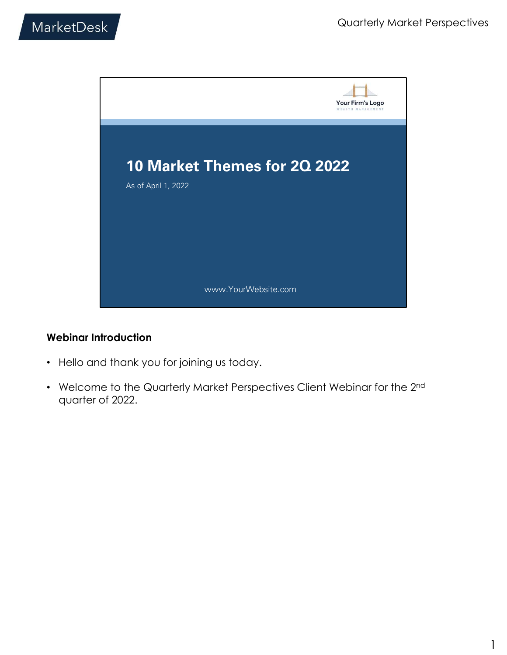

#### Webinar Introduction

- Hello and thank you for joining us today.
- Welcome to the Quarterly Market Perspectives Client Webinar for the 2nd quarter of 2022.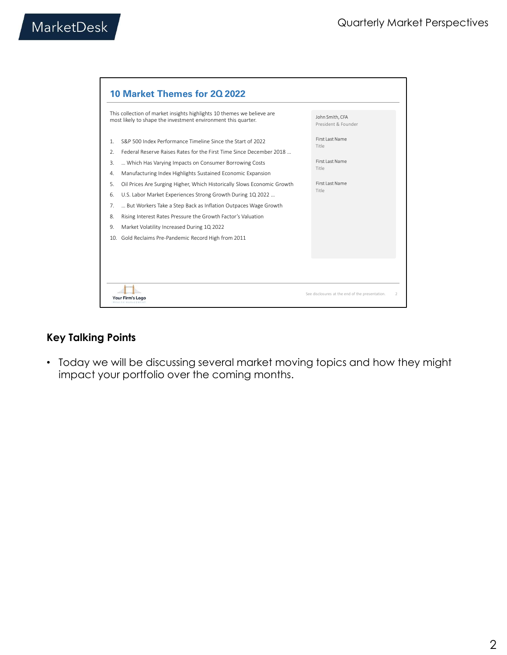|                                                                                                                                                                                                                  | <b>Quarterly Market Perspectives</b>   |  |
|------------------------------------------------------------------------------------------------------------------------------------------------------------------------------------------------------------------|----------------------------------------|--|
|                                                                                                                                                                                                                  |                                        |  |
| 10 Market Themes for 2Q 2022                                                                                                                                                                                     |                                        |  |
| This collection of market insights highlights 10 themes we believe are<br>most likely to shape the investment environment this quarter.                                                                          | John Smith, CFA<br>President & Founder |  |
| S&P 500 Index Performance Timeline Since the Start of 2022<br>1.                                                                                                                                                 | <b>First Last Name</b><br>Title        |  |
| Federal Reserve Raises Rates for the First Time Since December 2018<br>2.<br>Which Has Varying Impacts on Consumer Borrowing Costs<br>3.<br>4.                                                                   | <b>First Last Name</b><br>Title        |  |
| Manufacturing Index Highlights Sustained Economic Expansion<br>Oil Prices Are Surging Higher, Which Historically Slows Economic Growth<br>5.<br>U.S. Labor Market Experiences Strong Growth During 1Q 2022<br>6. | <b>First Last Name</b><br>Title        |  |
| 7.<br>But Workers Take a Step Back as Inflation Outpaces Wage Growth<br>Rising Interest Rates Pressure the Growth Factor's Valuation<br>8.                                                                       |                                        |  |

• Today we will be discussing several market moving topics and how they might impact your portfolio over the coming months.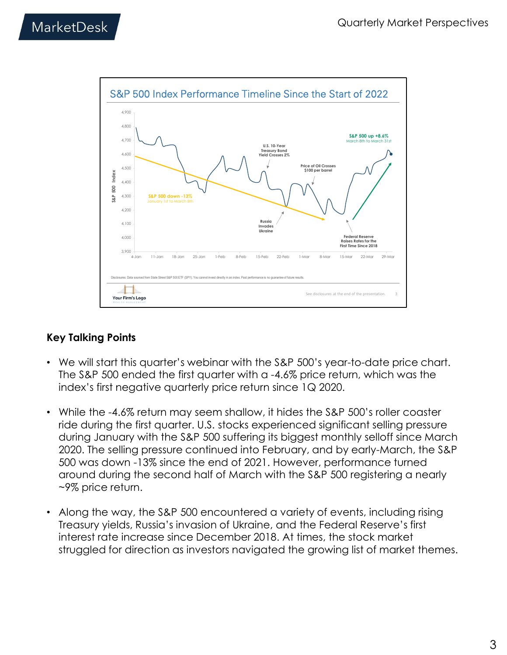

- We will start this quarter's webinar with the S&P 500's year-to-date price chart. The S&P 500 ended the first quarter with a -4.6% price return, which was the index's first negative quarterly price return since 1Q 2020.
- While the -4.6% return may seem shallow, it hides the S&P 500's roller coaster ride during the first quarter. U.S. stocks experienced significant selling pressure during January with the S&P 500 suffering its biggest monthly selloff since March 2020. The selling pressure continued into February, and by early-March, the S&P 500 was down -13% since the end of 2021. However, performance turned around during the second half of March with the S&P 500 registering a nearly ~9% price return.
- Along the way, the S&P 500 encountered a variety of events, including rising Treasury yields, Russia's invasion of Ukraine, and the Federal Reserve's first interest rate increase since December 2018. At times, the stock market struggled for direction as investors navigated the growing list of market themes.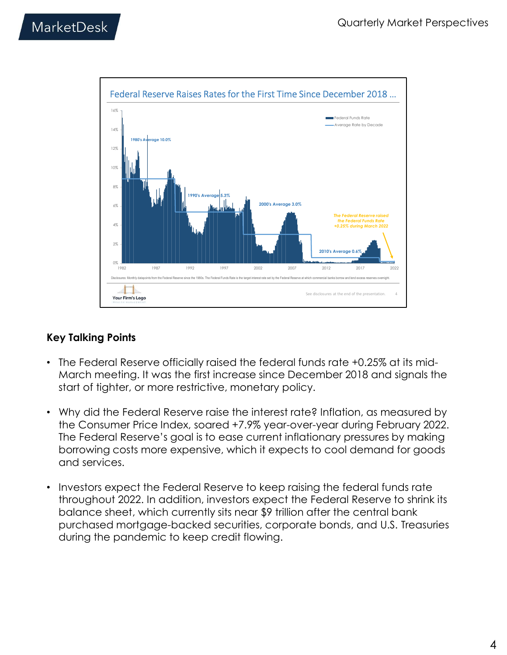

- The Federal Reserve officially raised the federal funds rate +0.25% at its mid-March meeting. It was the first increase since December 2018 and signals the start of tighter, or more restrictive, monetary policy.
- Why did the Federal Reserve raise the interest rate? Inflation, as measured by the Consumer Price Index, soared +7.9% year-over-year during February 2022. The Federal Reserve's goal is to ease current inflationary pressures by making borrowing costs more expensive, which it expects to cool demand for goods and services.
- Investors expect the Federal Reserve to keep raising the federal funds rate throughout 2022. In addition, investors expect the Federal Reserve to shrink its balance sheet, which currently sits near \$9 trillion after the central bank purchased mortgage-backed securities, corporate bonds, and U.S. Treasuries during the pandemic to keep credit flowing.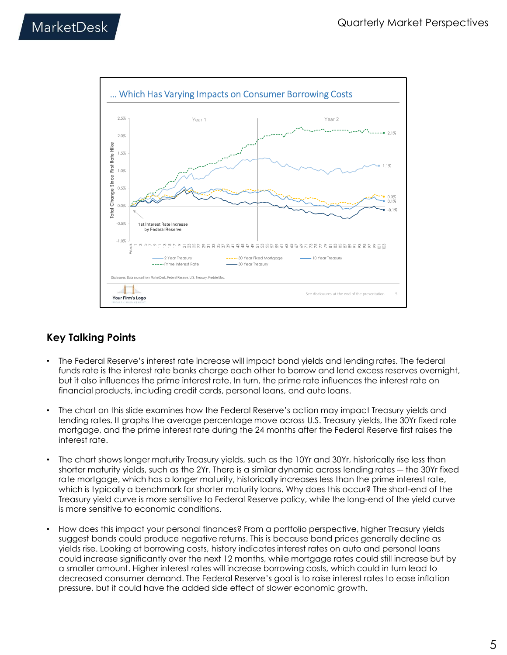

- The Federal Reserve's interest rate increase will impact bond yields and lending rates. The federal funds rate is the interest rate banks charge each other to borrow and lend excess reserves overnight, but it also influences the prime interest rate. In turn, the prime rate influences the interest rate on financial products, including credit cards, personal loans, and auto loans.
- The chart on this slide examines how the Federal Reserve's action may impact Treasury yields and lending rates. It graphs the average percentage move across U.S. Treasury yields, the 30Yr fixed rate mortgage, and the prime interest rate during the 24 months after the Federal Reserve first raises the interest rate.
- The chart shows longer maturity Treasury yields, such as the 10Yr and 30Yr, historically rise less than shorter maturity yields, such as the 2Yr. There is a similar dynamic across lending rates ― the 30Yr fixed rate mortgage, which has a longer maturity, historically increases less than the prime interest rate, which is typically a benchmark for shorter maturity loans. Why does this occur? The short-end of the Treasury yield curve is more sensitive to Federal Reserve policy, while the long-end of the yield curve is more sensitive to economic conditions.
- How does this impact your personal finances? From a portfolio perspective, higher Treasury yields suggest bonds could produce negative returns. This is because bond prices generally decline as yields rise. Looking at borrowing costs, history indicates interest rates on auto and personal loans could increase significantly over the next 12 months, while mortgage rates could still increase but by a smaller amount. Higher interest rates will increase borrowing costs, which could in turn lead to decreased consumer demand. The Federal Reserve's goal is to raise interest rates to ease inflation pressure, but it could have the added side effect of slower economic growth.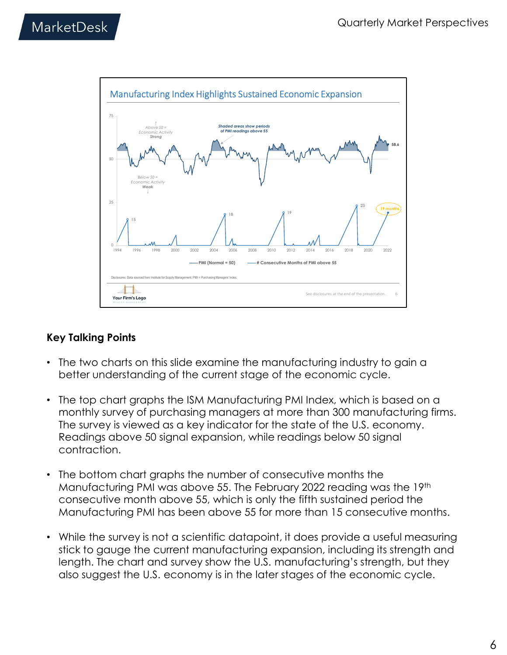

- The two charts on this slide examine the manufacturing industry to gain a better understanding of the current stage of the economic cycle.
- The top chart graphs the ISM Manufacturing PMI Index, which is based on a monthly survey of purchasing managers at more than 300 manufacturing firms. The survey is viewed as a key indicator for the state of the U.S. economy. Readings above 50 signal expansion, while readings below 50 signal contraction.
- The bottom chart graphs the number of consecutive months the Manufacturing PMI was above 55. The February 2022 reading was the 19th consecutive month above 55, which is only the fifth sustained period the Manufacturing PMI has been above 55 for more than 15 consecutive months.
- While the survey is not a scientific datapoint, it does provide a useful measuring stick to gauge the current manufacturing expansion, including its strength and length. The chart and survey show the U.S. manufacturing's strength, but they also suggest the U.S. economy is in the later stages of the economic cycle.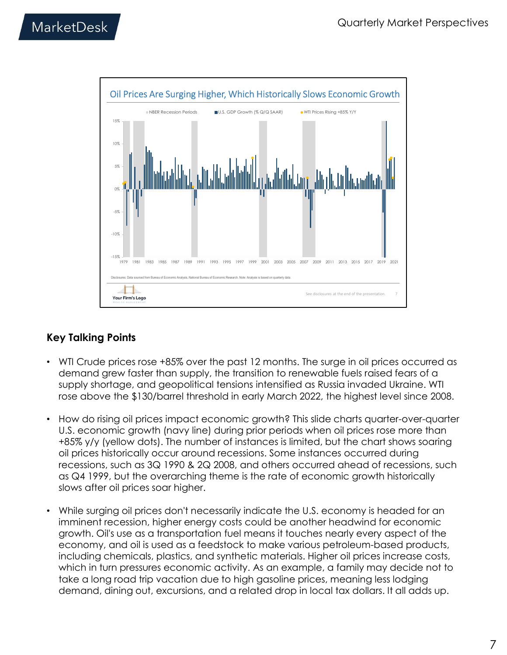

- WTI Crude prices rose +85% over the past 12 months. The surge in oil prices occurred as demand grew faster than supply, the transition to renewable fuels raised fears of a supply shortage, and geopolitical tensions intensified as Russia invaded Ukraine. WTI rose above the \$130/barrel threshold in early March 2022, the highest level since 2008.
- How do rising oil prices impact economic growth? This slide charts quarter-over-quarter U.S. economic growth (navy line) during prior periods when oil prices rose more than +85% y/y (yellow dots). The number of instances is limited, but the chart shows soaring oil prices historically occur around recessions. Some instances occurred during recessions, such as 3Q 1990 & 2Q 2008, and others occurred ahead of recessions, such as Q4 1999, but the overarching theme is the rate of economic growth historically slows after oil prices soar higher.
- While surging oil prices don't necessarily indicate the U.S. economy is headed for an imminent recession, higher energy costs could be another headwind for economic growth. Oil's use as a transportation fuel means it touches nearly every aspect of the economy, and oil is used as a feedstock to make various petroleum-based products, including chemicals, plastics, and synthetic materials. Higher oil prices increase costs, which in turn pressures economic activity. As an example, a family may decide not to take a long road trip vacation due to high gasoline prices, meaning less lodging demand, dining out, excursions, and a related drop in local tax dollars. It all adds up.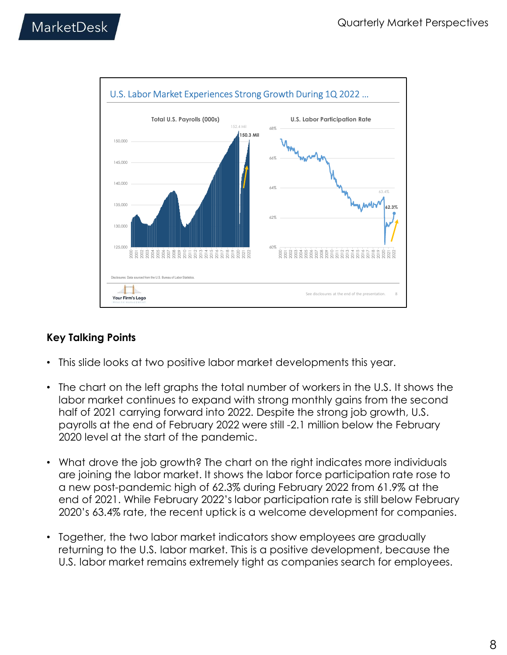

- This slide looks at two positive labor market developments this year.
- The chart on the left graphs the total number of workers in the U.S. It shows the labor market continues to expand with strong monthly gains from the second half of 2021 carrying forward into 2022. Despite the strong job growth, U.S. payrolls at the end of February 2022 were still -2.1 million below the February 2020 level at the start of the pandemic.
- What drove the job growth? The chart on the right indicates more individuals are joining the labor market. It shows the labor force participation rate rose to a new post-pandemic high of 62.3% during February 2022 from 61.9% at the end of 2021. While February 2022's labor participation rate is still below February 2020's 63.4% rate, the recent uptick is a welcome development for companies.
- Together, the two labor market indicators show employees are gradually returning to the U.S. labor market. This is a positive development, because the U.S. labor market remains extremely tight as companies search for employees.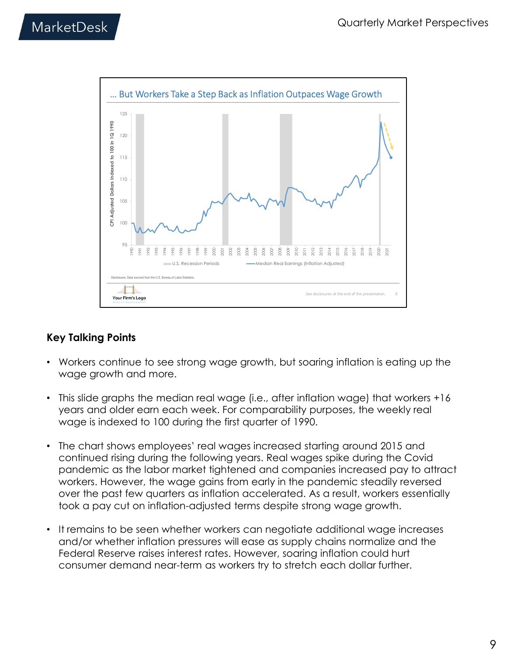

- Workers continue to see strong wage growth, but soaring inflation is eating up the wage growth and more.
- This slide graphs the median real wage (i.e., after inflation wage) that workers +16 years and older earn each week. For comparability purposes, the weekly real wage is indexed to 100 during the first quarter of 1990.
- The chart shows employees' real wages increased starting around 2015 and continued rising during the following years. Real wages spike during the Covid pandemic as the labor market tightened and companies increased pay to attract workers. However, the wage gains from early in the pandemic steadily reversed over the past few quarters as inflation accelerated. As a result, workers essentially took a pay cut on inflation-adjusted terms despite strong wage growth.
- It remains to be seen whether workers can negotiate additional wage increases and/or whether inflation pressures will ease as supply chains normalize and the Federal Reserve raises interest rates. However, soaring inflation could hurt consumer demand near-term as workers try to stretch each dollar further.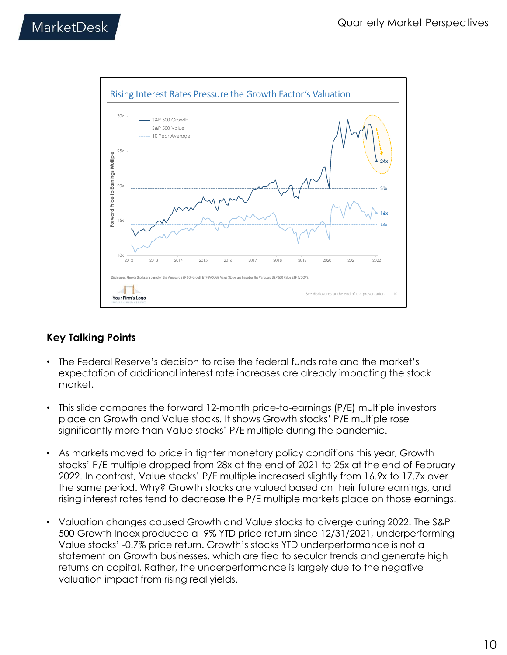

- The Federal Reserve's decision to raise the federal funds rate and the market's expectation of additional interest rate increases are already impacting the stock market.
- This slide compares the forward 12-month price-to-earnings (P/E) multiple investors place on Growth and Value stocks. It shows Growth stocks' P/E multiple rose significantly more than Value stocks' P/E multiple during the pandemic.
- As markets moved to price in tighter monetary policy conditions this year, Growth stocks' P/E multiple dropped from 28x at the end of 2021 to 25x at the end of February 2022. In contrast, Value stocks' P/E multiple increased slightly from 16.9x to 17.7x over the same period. Why? Growth stocks are valued based on their future earnings, and rising interest rates tend to decrease the P/E multiple markets place on those earnings.
- Valuation changes caused Growth and Value stocks to diverge during 2022. The S&P 500 Growth Index produced a -9% YTD price return since 12/31/2021, underperforming Value stocks' -0.7% price return. Growth's stocks YTD underperformance is not a statement on Growth businesses, which are tied to secular trends and generate high returns on capital. Rather, the underperformance is largely due to the negative valuation impact from rising real yields.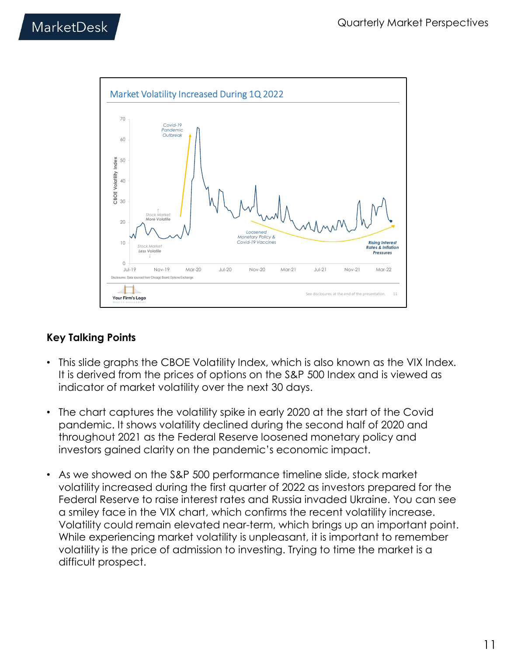

- This slide graphs the CBOE Volatility Index, which is also known as the VIX Index. It is derived from the prices of options on the S&P 500 Index and is viewed as indicator of market volatility over the next 30 days.
- The chart captures the volatility spike in early 2020 at the start of the Covid pandemic. It shows volatility declined during the second half of 2020 and throughout 2021 as the Federal Reserve loosened monetary policy and investors gained clarity on the pandemic's economic impact.
- As we showed on the S&P 500 performance timeline slide, stock market volatility increased during the first quarter of 2022 as investors prepared for the Federal Reserve to raise interest rates and Russia invaded Ukraine. You can see a smiley face in the VIX chart, which confirms the recent volatility increase. Volatility could remain elevated near-term, which brings up an important point. While experiencing market volatility is unpleasant, it is important to remember volatility is the price of admission to investing. Trying to time the market is a difficult prospect.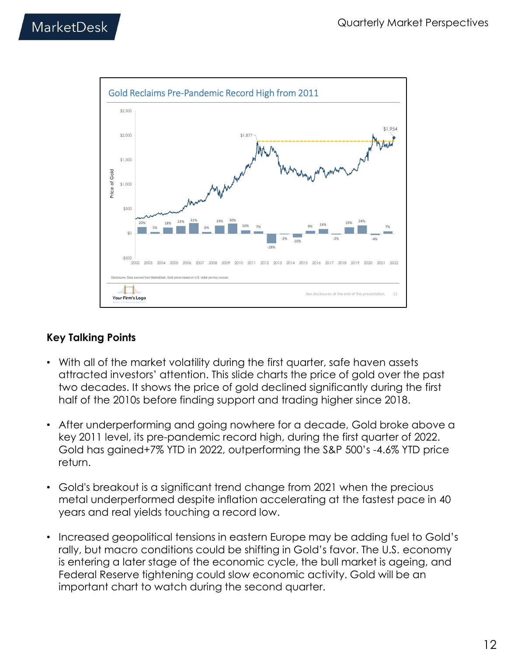

- With all of the market volatility during the first quarter, safe haven assets attracted investors' attention. This slide charts the price of gold over the past two decades. It shows the price of gold declined significantly during the first half of the 2010s before finding support and trading higher since 2018.
- After underperforming and going nowhere for a decade, Gold broke above a key 2011 level, its pre-pandemic record high, during the first quarter of 2022. Gold has gained+7% YTD in 2022, outperforming the S&P 500's -4.6% YTD price return.
- Gold's breakout is a significant trend change from 2021 when the precious metal underperformed despite inflation accelerating at the fastest pace in 40 years and real yields touching a record low.
- Increased geopolitical tensions in eastern Europe may be adding fuel to Gold's rally, but macro conditions could be shifting in Gold's favor. The U.S. economy is entering a later stage of the economic cycle, the bull market is ageing, and Federal Reserve tightening could slow economic activity. Gold will be an important chart to watch during the second quarter.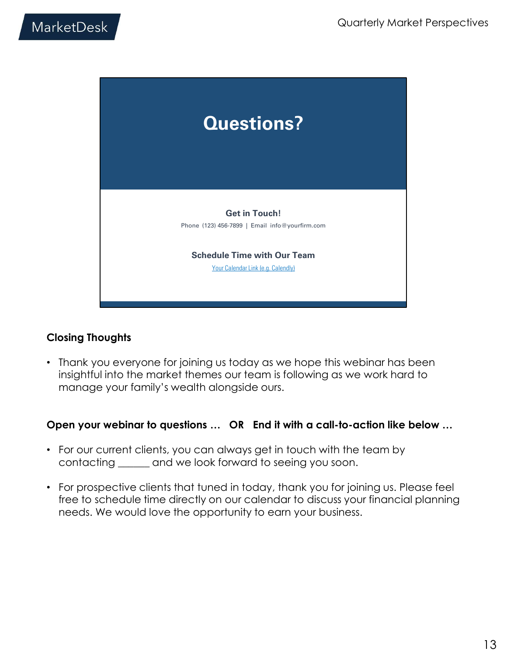

## Closing Thoughts

• Thank you everyone for joining us today as we hope this webinar has been insightful into the market themes our team is following as we work hard to manage your family's wealth alongside ours.

#### Open your webinar to questions … OR End it with a call-to-action like below …

- For our current clients, you can always get in touch with the team by contacting \_\_\_\_\_\_ and we look forward to seeing you soon.
- For prospective clients that tuned in today, thank you for joining us. Please feel free to schedule time directly on our calendar to discuss your financial planning needs. We would love the opportunity to earn your business.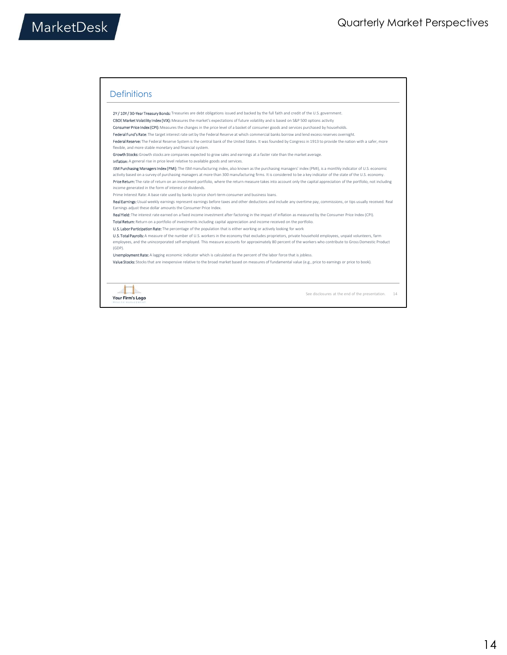#### **Definitions**

2Y / 10Y / 30-Year Treasury Bonds: Treasuries are debt obligations issued and backed by the full faith and credit of the U.S. government CBOE Market Volatility Index (VIX): Measures the market's expectations of future volatility and is based on S&P 500 options activity Quarterly Market Perspectives<br>
2011 - Control and the control and the control of the control and the control of the control of the control of the control of the control of the control of the control of the control of the Inflation: A general rise in price level relative to available goods and services. **ISM Purchasing Managers Index (PMI):** The ISM manufacturing index, also known as the purchasing managers' index (PMI), is a monthly indicator of U.S. economic<br>activity based on a survey of purchasing managers at more than Price Return: The rate of return on an investment portfolio, where the return measure takes into account only the capital appreciation of the portfolio, not including income generated in the form of interest or dividends. Quarterly Market Perspectives<br>
Definitions<br>
Definitions<br>
With the membership in the set of the set of the set of the set of the set of the set of the set of the set of the set of the set of the set of the set of the set o Total Return: Return on a portfolio of investments including capital appreciation and income received on the portfolio U.S. Labor Participation Rate: The percentage of the population that is either working or actively looking for work<br>U.S. Total Payrolls: A measure of the number of U.S. workers in the economy that excludes proprietors, pri employees, and the unincorporated self-employed. This measure accounts for approximately 80 percent of the workers who contribute to Gross Domestic Product<br>(GDP). Unemployment Rate: A lagging economic indicator which is calculated as the percent of the labor force that is jobless. Value Stocks: Stocks that are inexpensive relative to the broad market based on measures of fundamental value (e.g., price to earnings or price to book).



See disclosures at the end of the presentation. 14